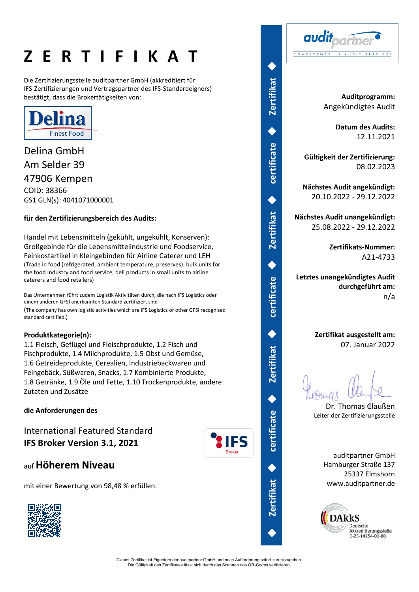# **Z E R T I F I K A T**

Die Zertifizierungsstelle auditpartner GmbH (akkreditiert für IFS-Zertifizierungen und Vertragspartner des IFS-Standardeigners) bestätigt, dass die Brokertätigkeiten von:



Delina GmbH Am Selder 39 47906 Kempen COID: 38366 GS1 GLN(s): 4041071000001

### **für den Zertifizierungsbereich des Audits:**

Handel mit Lebensmitteln (gekühlt, ungekühlt, Konserven): Großgebinde für die Lebensmittelindustrie und Foodservice, Feinkostartikel in Kleingebinden für Airline Caterer und LEH (Trade in food (refrigerated, ambient temperature, preserves): bulk units for the food Industry and food service, deli products in small units to airline caterers and food retailers)

Das Unternehmen führt zudem Logistik Aktivitäten durch, die nach IFS Logistics oder einem anderen GFSI anerkannten Standard zertifiziert sind (The company has own logistic activities which are IFS Logistics or other GFSI recognised standard certified.)

### **Produktkategorie(n):**

1.1 Fleisch, Geflügel und Fleischprodukte, 1.2 Fisch und Fischprodukte, 1.4 Milchprodukte, 1.5 Obst und Gemüse, 1.6 Getreideprodukte, Cerealien, Industriebackwaren und Feingebäck, Süßwaren, Snacks, 1.7 Kombinierte Produkte, 1.8 Getränke, 1.9 Öle und Fette, 1.10 Trockenprodukte, andere Zutaten und Zusätze

**die Anforderungen des** 

International Featured Standard **IFS Broker Version 3.1, 2021**



◆

**certificate** 

◆

**Zertifikat** 

◆

**certificate** 

◆

**Zertifikat** 

◆

**certificate** 

◆

**Zertifikat** 

◆

**certificate** 

◆

**Zertifikat** 

◆

audit COMPETENCE IN AUDIT SERVICES

> **Auditprogramm:** Angekündigtes Audit

> > **Datum des Audits:** 12.11.2021

**Gültigkeit der Zertifizierung:** 08.02.2023

**Nächstes Audit angekündigt:** 20.10.2022 - 29.12.2022

**Nächstes Audit unangekündigt:** 25.08.2022 - 29.12.2022

> **Zertifikats-Nummer:** A21-4733

**Letztes unangekündigtes Audit durchgeführt am:** n/a

> **Zertifikat ausgestellt am:** 07. Januar 2022

Dr. Thomas Claußen Leiter der Zertifizierungsstelle

auditpartner GmbH Hamburger Straße 137 25337 Elmshorn www.auditpartner.de



auf **Höherem Niveau**

mit einer Bewertung von 98,48 % erfüllen.



Dieses Zertifikat ist Eigentum der auditpartner GmbH und nach Aufforderung sofort zurückzugeben. Die Gültigkeit des Zertifikates lässt sich durch das Scannen des QR-Codes verifizieren.